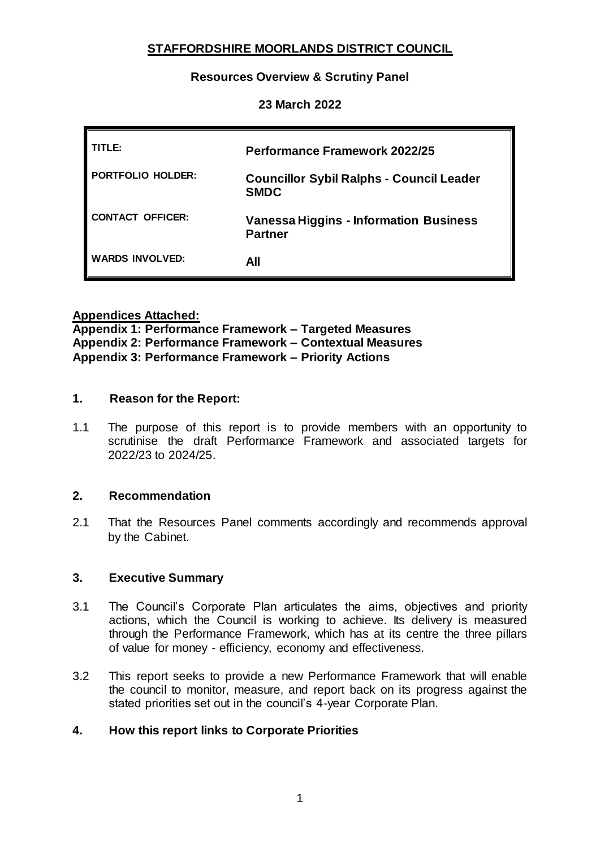# **STAFFORDSHIRE MOORLANDS DISTRICT COUNCIL**

### **Resources Overview & Scrutiny Panel**

### **23 March 2022**

| TITLE:            | <b>Performance Framework 2022/25</b>                            |
|-------------------|-----------------------------------------------------------------|
| PORTFOLIO HOLDER: | <b>Councillor Sybil Ralphs - Council Leader</b><br><b>SMDC</b>  |
| CONTACT OFFICER:  | <b>Vanessa Higgins - Information Business</b><br><b>Partner</b> |
| WARDS INVOLVED:   | All                                                             |

**Appendices Attached:** 

**Appendix 1: Performance Framework – Targeted Measures Appendix 2: Performance Framework – Contextual Measures Appendix 3: Performance Framework – Priority Actions**

#### **1. Reason for the Report:**

1.1 The purpose of this report is to provide members with an opportunity to scrutinise the draft Performance Framework and associated targets for 2022/23 to 2024/25.

#### **2. Recommendation**

2.1 That the Resources Panel comments accordingly and recommends approval by the Cabinet.

#### **3. Executive Summary**

- 3.1 The Council's Corporate Plan articulates the aims, objectives and priority actions, which the Council is working to achieve. Its delivery is measured through the Performance Framework, which has at its centre the three pillars of value for money - efficiency, economy and effectiveness.
- 3.2 This report seeks to provide a new Performance Framework that will enable the council to monitor, measure, and report back on its progress against the stated priorities set out in the council's 4-year Corporate Plan.

# **4. How this report links to Corporate Priorities**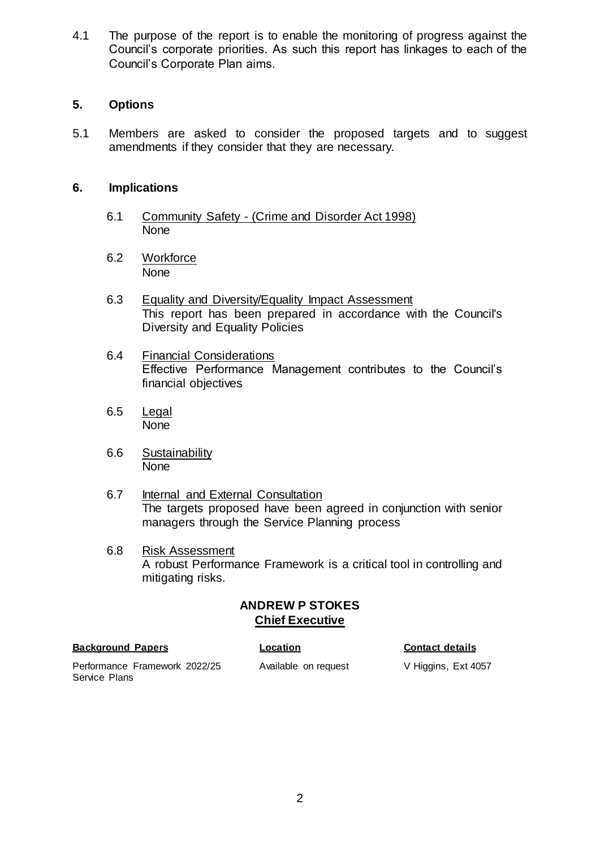4.1 The purpose of the report is to enable the monitoring of progress against the Council's corporate priorities. As such this report has linkages to each of the Council's Corporate Plan aims.

### **5. Options**

5.1 Members are asked to consider the proposed targets and to suggest amendments if they consider that they are necessary.

### **6. Implications**

- 6.1 Community Safety (Crime and Disorder Act 1998) None
- 6.2 Workforce None
- 6.3 Equality and Diversity/Equality Impact Assessment This report has been prepared in accordance with the Council's Diversity and Equality Policies
- 6.4 Financial Considerations Effective Performance Management contributes to the Council's financial objectives
- 6.5 Legal None
- 6.6 Sustainability None
- 6.7 Internal and External Consultation The targets proposed have been agreed in conjunction with senior managers through the Service Planning process
- 6.8 Risk Assessment A robust Performance Framework is a critical tool in controlling and mitigating risks.

### **ANDREW P STOKES Chief Executive**

#### **Background Papers Location Contact details**

Performance Framework 2022/25 Service Plans

Available on request V Higgins, Ext 4057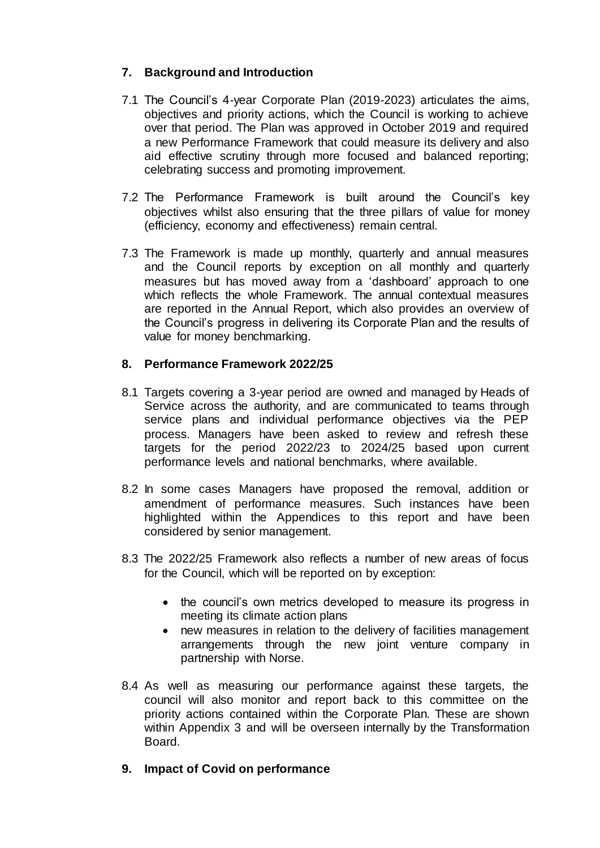# **7. Background and Introduction**

- 7.1 The Council's 4-year Corporate Plan (2019-2023) articulates the aims, objectives and priority actions, which the Council is working to achieve over that period. The Plan was approved in October 2019 and required a new Performance Framework that could measure its delivery and also aid effective scrutiny through more focused and balanced reporting; celebrating success and promoting improvement.
- 7.2 The Performance Framework is built around the Council's key objectives whilst also ensuring that the three pillars of value for money (efficiency, economy and effectiveness) remain central.
- 7.3 The Framework is made up monthly, quarterly and annual measures and the Council reports by exception on all monthly and quarterly measures but has moved away from a 'dashboard' approach to one which reflects the whole Framework. The annual contextual measures are reported in the Annual Report, which also provides an overview of the Council's progress in delivering its Corporate Plan and the results of value for money benchmarking.

# **8. Performance Framework 2022/25**

- 8.1 Targets covering a 3-year period are owned and managed by Heads of Service across the authority, and are communicated to teams through service plans and individual performance objectives via the PEP process. Managers have been asked to review and refresh these targets for the period 2022/23 to 2024/25 based upon current performance levels and national benchmarks, where available.
- 8.2 In some cases Managers have proposed the removal, addition or amendment of performance measures. Such instances have been highlighted within the Appendices to this report and have been considered by senior management.
- 8.3 The 2022/25 Framework also reflects a number of new areas of focus for the Council, which will be reported on by exception:
	- the council's own metrics developed to measure its progress in meeting its climate action plans
	- new measures in relation to the delivery of facilities management arrangements through the new joint venture company in partnership with Norse.
- 8.4 As well as measuring our performance against these targets, the council will also monitor and report back to this committee on the priority actions contained within the Corporate Plan. These are shown within Appendix 3 and will be overseen internally by the Transformation Board.
- **9. Impact of Covid on performance**